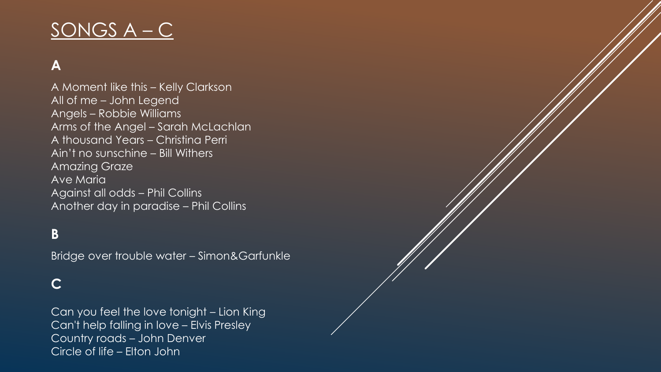# SONGS A – C

## **A**

A Moment like this – Kelly Clarkson All of me – John Legend Angels – Robbie Williams Arms of the Angel – Sarah McLachlan A thousand Years – Christina Perri Ain't no sunschine – Bill Withers Amazing Graze Ave Maria Against all odds – Phil Collins Another day in paradise – Phil Collins

### **B**

Bridge over trouble water – Simon&Garfunkle

#### **C**

Can you feel the love tonight – Lion King Can't help falling in love – Elvis Presley Country roads – John Denver Circle of life – Elton John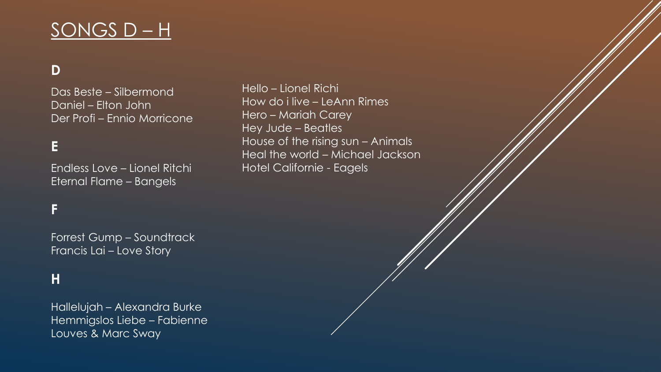# SONGS D – H

## **D**

Das Beste – Silbermond Daniel – Elton John Der Profi – Ennio Morricone

#### **E**

Endless Love – Lionel Ritchi Eternal Flame – Bangels

#### **F**

Forrest Gump – Soundtrack Francis Lai – Love Story

### **H**

Hallelujah – Alexandra Burke Hemmigslos Liebe – Fabienne Louves & Marc Sway

Hello – Lionel Richi How do i live – LeAnn Rimes Hero – Mariah Carey Hey Jude – Beatles House of the rising sun – Animals Heal the world – Michael Jackson Hotel Californie - Eagels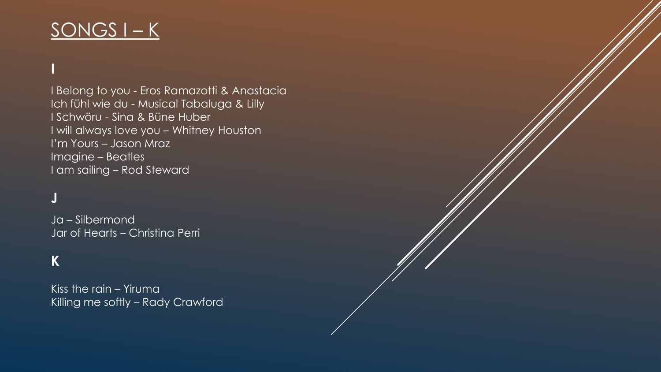## SONGS I – K

I Belong to you - Eros Ramazotti & Anastacia Ich fühl wie du - Musical Tabaluga & Lilly I Schwöru - Sina & Büne Huber I will always love you – Whitney Houston I'm Yours – Jason Mraz Imagine – Beatles I am sailing – Rod Steward

## **J**

**I**

Ja – Silbermond Jar of Hearts – Christina Perri

### **K**

Kiss the rain – Yiruma Killing me softly – Rady Crawford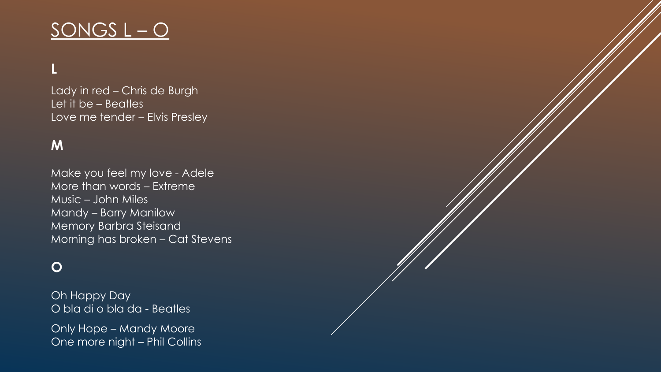## SONGS L – O

#### **L**

Lady in red – Chris de Burgh Let it be – Beatles Love me tender – Elvis Presley

### **M**

Make you feel my love - Adele More than words – Extreme Music – John Miles Mandy – Barry Manilow Memory Barbra Steisand Morning has broken – Cat Stevens

#### **O**

Oh Happy Day O bla di o bla da - Beatles

Only Hope – Mandy Moore One more night – Phil Collins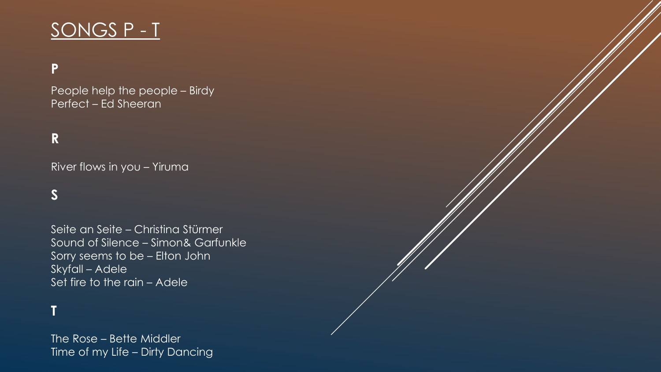## SONGS P - T

#### **P**

People help the people – Birdy Perfect – Ed Sheeran

### **R**

River flows in you – Yiruma

#### **S**

Seite an Seite – Christina Stürmer Sound of Silence – Simon& Garfunkle Sorry seems to be – Elton John Skyfall – Adele Set fire to the rain – Adele

#### **T**

The Rose – Bette Middler Time of my Life – Dirty Dancing